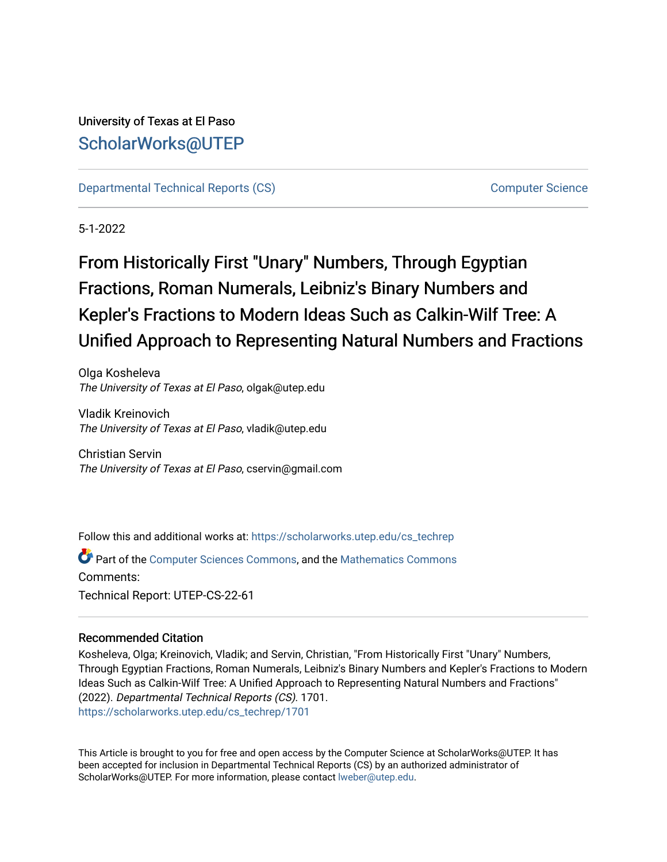## University of Texas at El Paso [ScholarWorks@UTEP](https://scholarworks.utep.edu/)

[Departmental Technical Reports \(CS\)](https://scholarworks.utep.edu/cs_techrep) [Computer Science](https://scholarworks.utep.edu/computer) 

5-1-2022

# From Historically First "Unary" Numbers, Through Egyptian Fractions, Roman Numerals, Leibniz's Binary Numbers and Kepler's Fractions to Modern Ideas Such as Calkin-Wilf Tree: A Unified Approach to Representing Natural Numbers and Fractions

Olga Kosheleva The University of Texas at El Paso, olgak@utep.edu

Vladik Kreinovich The University of Texas at El Paso, vladik@utep.edu

Christian Servin The University of Texas at El Paso, cservin@gmail.com

Follow this and additional works at: [https://scholarworks.utep.edu/cs\\_techrep](https://scholarworks.utep.edu/cs_techrep?utm_source=scholarworks.utep.edu%2Fcs_techrep%2F1701&utm_medium=PDF&utm_campaign=PDFCoverPages) 

**C** Part of the [Computer Sciences Commons](https://network.bepress.com/hgg/discipline/142?utm_source=scholarworks.utep.edu%2Fcs_techrep%2F1701&utm_medium=PDF&utm_campaign=PDFCoverPages), and the Mathematics Commons Comments: Technical Report: UTEP-CS-22-61

### Recommended Citation

Kosheleva, Olga; Kreinovich, Vladik; and Servin, Christian, "From Historically First "Unary" Numbers, Through Egyptian Fractions, Roman Numerals, Leibniz's Binary Numbers and Kepler's Fractions to Modern Ideas Such as Calkin-Wilf Tree: A Unified Approach to Representing Natural Numbers and Fractions" (2022). Departmental Technical Reports (CS). 1701. [https://scholarworks.utep.edu/cs\\_techrep/1701](https://scholarworks.utep.edu/cs_techrep/1701?utm_source=scholarworks.utep.edu%2Fcs_techrep%2F1701&utm_medium=PDF&utm_campaign=PDFCoverPages) 

This Article is brought to you for free and open access by the Computer Science at ScholarWorks@UTEP. It has been accepted for inclusion in Departmental Technical Reports (CS) by an authorized administrator of ScholarWorks@UTEP. For more information, please contact [lweber@utep.edu](mailto:lweber@utep.edu).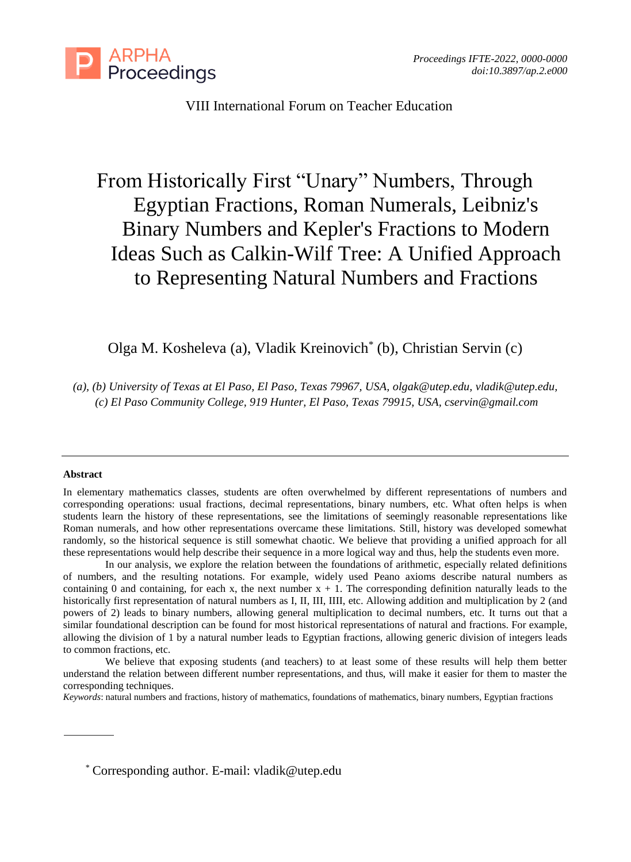

## VIII International Forum on Teacher Education

## From Historically First "Unary" Numbers, Through Egyptian Fractions, Roman Numerals, Leibniz's Binary Numbers and Kepler's Fractions to Modern Ideas Such as Calkin-Wilf Tree: A Unified Approach to Representing Natural Numbers and Fractions

## Olga M. Kosheleva (a), Vladik Kreinovich\* (b), Christian Servin (c)

*(a), (b) University of Texas at El Paso, El Paso, Texas 79967, USA, [olgak@utep.edu,](mailto:olgak@utep.edu) [vladik@utep.edu,](mailto:vladik@utep.edu) (c) El Paso Community College, 919 Hunter, El Paso, Texas 79915, USA, cservin@gmail.com*

#### **Abstract**

In our analysis, we explore the relation between the foundations of arithmetic, especially related definitions of numbers, and the resulting notations. For example, widely used Peano axioms describe natural numbers as containing 0 and containing, for each x, the next number  $x + 1$ . The corresponding definition naturally leads to the historically first representation of natural numbers as I, II, III, IIII, etc. Allowing addition and multiplication by 2 (and powers of 2) leads to binary numbers, allowing general multiplication to decimal numbers, etc. It turns out that a similar foundational description can be found for most historical representations of natural and fractions. For example, allowing the division of 1 by a natural number leads to Egyptian fractions, allowing generic division of integers leads to common fractions, etc.

We believe that exposing students (and teachers) to at least some of these results will help them better understand the relation between different number representations, and thus, will make it easier for them to master the corresponding techniques.

*Keywords*: natural numbers and fractions, history of mathematics, foundations of mathematics, binary numbers, Egyptian fractions

\* Corresponding author. E-mail: vladik@utep.edu

In elementary mathematics classes, students are often overwhelmed by different representations of numbers and corresponding operations: usual fractions, decimal representations, binary numbers, etc. What often helps is when students learn the history of these representations, see the limitations of seemingly reasonable representations like Roman numerals, and how other representations overcame these limitations. Still, history was developed somewhat randomly, so the historical sequence is still somewhat chaotic. We believe that providing a unified approach for all these representations would help describe their sequence in a more logical way and thus, help the students even more.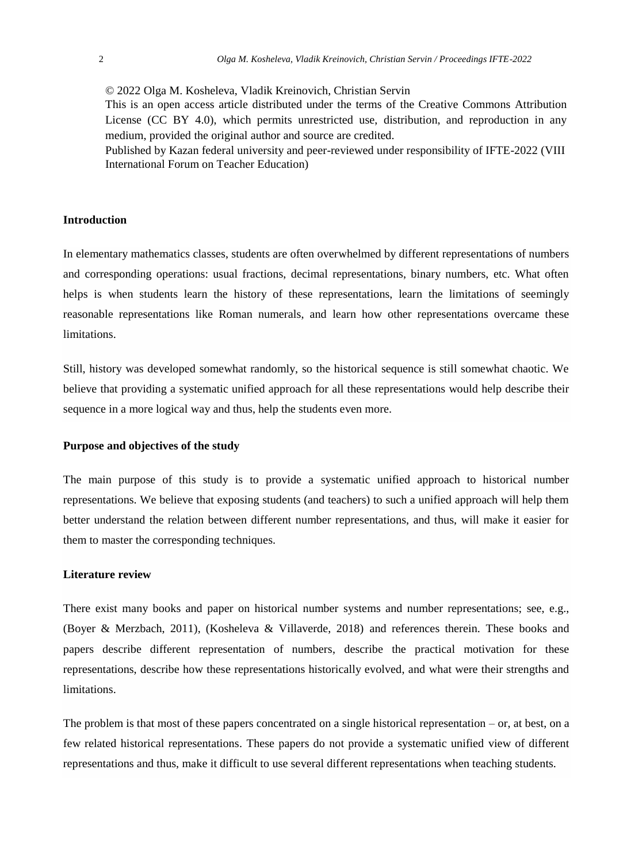© 2022 Olga M. Kosheleva, Vladik Kreinovich, Christian Servin This is an open access article distributed under the terms of the Creative Commons Attribution

License (CC BY 4.0), which permits unrestricted use, distribution, and reproduction in any medium, provided the original author and source are credited.

Published by Kazan federal university and peer-reviewed under responsibility of IFTE-2022 (VIII International Forum on Teacher Education)

#### **Introduction**

In elementary mathematics classes, students are often overwhelmed by different representations of numbers and corresponding operations: usual fractions, decimal representations, binary numbers, etc. What often helps is when students learn the history of these representations, learn the limitations of seemingly reasonable representations like Roman numerals, and learn how other representations overcame these limitations.

Still, history was developed somewhat randomly, so the historical sequence is still somewhat chaotic. We believe that providing a systematic unified approach for all these representations would help describe their sequence in a more logical way and thus, help the students even more.

#### **Purpose and objectives of the study**

The main purpose of this study is to provide a systematic unified approach to historical number representations. We believe that exposing students (and teachers) to such a unified approach will help them better understand the relation between different number representations, and thus, will make it easier for them to master the corresponding techniques.

#### **Literature review**

There exist many books and paper on historical number systems and number representations; see, e.g., (Boyer & Merzbach, 2011), (Kosheleva & Villaverde, 2018) and references therein. These books and papers describe different representation of numbers, describe the practical motivation for these representations, describe how these representations historically evolved, and what were their strengths and limitations.

The problem is that most of these papers concentrated on a single historical representation  $-$  or, at best, on a few related historical representations. These papers do not provide a systematic unified view of different representations and thus, make it difficult to use several different representations when teaching students.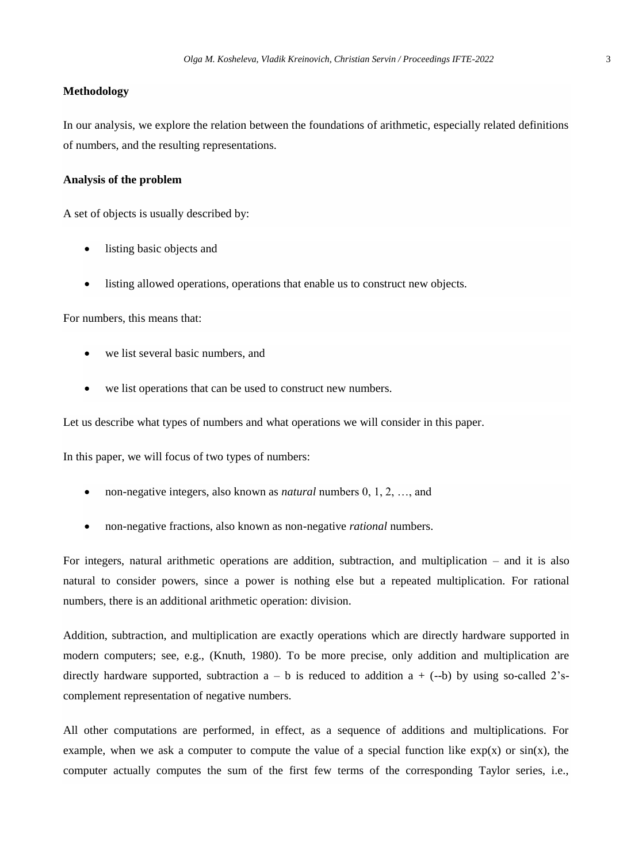#### **Methodology**

In our analysis, we explore the relation between the foundations of arithmetic, especially related definitions of numbers, and the resulting representations.

#### **Analysis of the problem**

A set of objects is usually described by:

- listing basic objects and
- listing allowed operations, operations that enable us to construct new objects.

For numbers, this means that:

- we list several basic numbers, and
- we list operations that can be used to construct new numbers.

Let us describe what types of numbers and what operations we will consider in this paper.

In this paper, we will focus of two types of numbers:

- non-negative integers, also known as *natural* numbers 0, 1, 2, …, and
- non-negative fractions, also known as non-negative *rational* numbers.

For integers, natural arithmetic operations are addition, subtraction, and multiplication – and it is also natural to consider powers, since a power is nothing else but a repeated multiplication. For rational numbers, there is an additional arithmetic operation: division.

Addition, subtraction, and multiplication are exactly operations which are directly hardware supported in modern computers; see, e.g., (Knuth, 1980). To be more precise, only addition and multiplication are directly hardware supported, subtraction  $a - b$  is reduced to addition  $a + (-b)$  by using so-called 2'scomplement representation of negative numbers.

All other computations are performed, in effect, as a sequence of additions and multiplications. For example, when we ask a computer to compute the value of a special function like  $exp(x)$  or  $sin(x)$ , the computer actually computes the sum of the first few terms of the corresponding Taylor series, i.e.,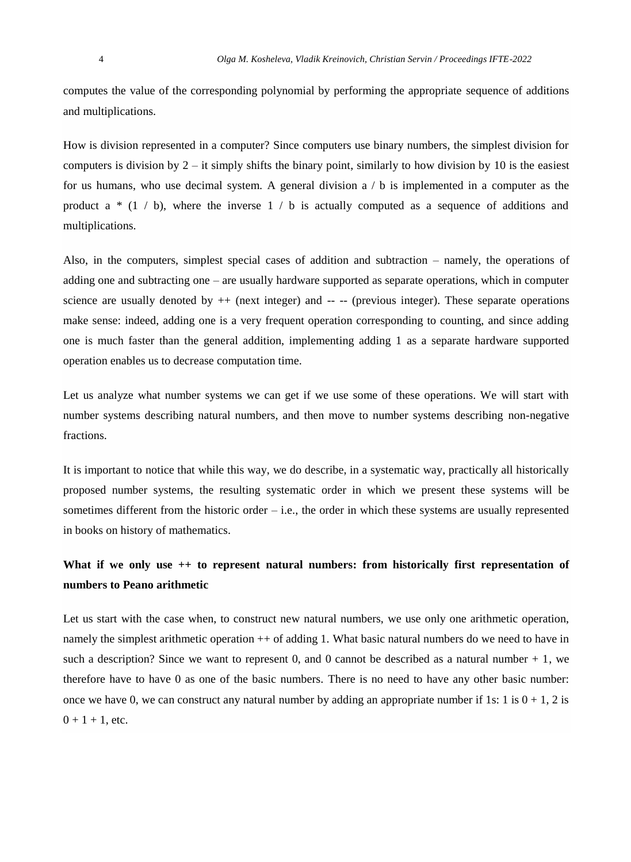computes the value of the corresponding polynomial by performing the appropriate sequence of additions and multiplications.

How is division represented in a computer? Since computers use binary numbers, the simplest division for computers is division by  $2 - it$  simply shifts the binary point, similarly to how division by 10 is the easiest for us humans, who use decimal system. A general division  $a / b$  is implemented in a computer as the product a  $*(1 / b)$ , where the inverse  $1 / b$  is actually computed as a sequence of additions and multiplications.

Also, in the computers, simplest special cases of addition and subtraction – namely, the operations of adding one and subtracting one – are usually hardware supported as separate operations, which in computer science are usually denoted by  $++$  (next integer) and  $--$  (previous integer). These separate operations make sense: indeed, adding one is a very frequent operation corresponding to counting, and since adding one is much faster than the general addition, implementing adding 1 as a separate hardware supported operation enables us to decrease computation time.

Let us analyze what number systems we can get if we use some of these operations. We will start with number systems describing natural numbers, and then move to number systems describing non-negative fractions.

It is important to notice that while this way, we do describe, in a systematic way, practically all historically proposed number systems, the resulting systematic order in which we present these systems will be sometimes different from the historic order – i.e., the order in which these systems are usually represented in books on history of mathematics.

## **What if we only use ++ to represent natural numbers: from historically first representation of numbers to Peano arithmetic**

Let us start with the case when, to construct new natural numbers, we use only one arithmetic operation, namely the simplest arithmetic operation  $++$  of adding 1. What basic natural numbers do we need to have in such a description? Since we want to represent 0, and 0 cannot be described as a natural number  $+1$ , we therefore have to have 0 as one of the basic numbers. There is no need to have any other basic number: once we have 0, we can construct any natural number by adding an appropriate number if 1s: 1 is  $0 + 1$ , 2 is  $0 + 1 + 1$ , etc.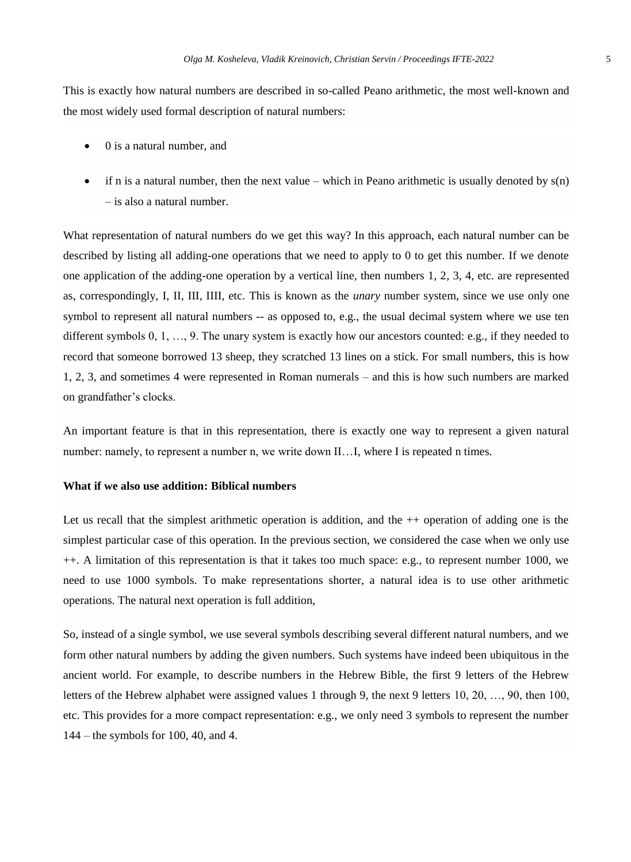This is exactly how natural numbers are described in so-called Peano arithmetic, the most well-known and the most widely used formal description of natural numbers:

- 0 is a natural number, and
- if n is a natural number, then the next value which in Peano arithmetic is usually denoted by  $s(n)$ – is also a natural number.

What representation of natural numbers do we get this way? In this approach, each natural number can be described by listing all adding-one operations that we need to apply to 0 to get this number. If we denote one application of the adding-one operation by a vertical line, then numbers 1, 2, 3, 4, etc. are represented as, correspondingly, I, II, III, IIII, etc. This is known as the *unary* number system, since we use only one symbol to represent all natural numbers -- as opposed to, e.g., the usual decimal system where we use ten different symbols 0, 1, …, 9. The unary system is exactly how our ancestors counted: e.g., if they needed to record that someone borrowed 13 sheep, they scratched 13 lines on a stick. For small numbers, this is how 1, 2, 3, and sometimes 4 were represented in Roman numerals – and this is how such numbers are marked on grandfather's clocks.

An important feature is that in this representation, there is exactly one way to represent a given natural number: namely, to represent a number n, we write down II...I, where I is repeated n times.

#### **What if we also use addition: Biblical numbers**

Let us recall that the simplest arithmetic operation is addition, and the ++ operation of adding one is the simplest particular case of this operation. In the previous section, we considered the case when we only use ++. A limitation of this representation is that it takes too much space: e.g., to represent number 1000, we need to use 1000 symbols. To make representations shorter, a natural idea is to use other arithmetic operations. The natural next operation is full addition,

So, instead of a single symbol, we use several symbols describing several different natural numbers, and we form other natural numbers by adding the given numbers. Such systems have indeed been ubiquitous in the ancient world. For example, to describe numbers in the Hebrew Bible, the first 9 letters of the Hebrew letters of the Hebrew alphabet were assigned values 1 through 9, the next 9 letters 10, 20, …, 90, then 100, etc. This provides for a more compact representation: e.g., we only need 3 symbols to represent the number 144 – the symbols for 100, 40, and 4.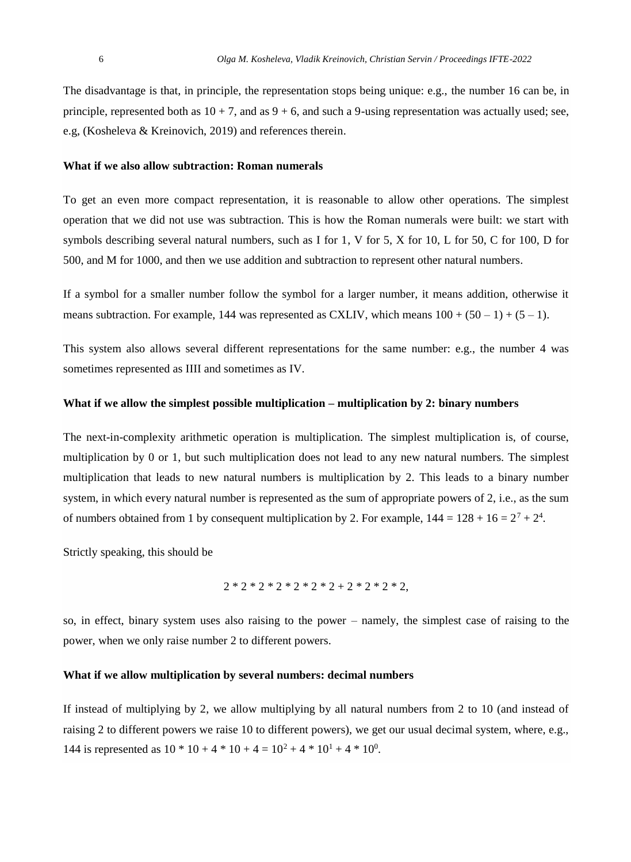The disadvantage is that, in principle, the representation stops being unique: e.g., the number 16 can be, in principle, represented both as  $10 + 7$ , and as  $9 + 6$ , and such a 9-using representation was actually used; see, e.g, (Kosheleva & Kreinovich, 2019) and references therein.

#### **What if we also allow subtraction: Roman numerals**

To get an even more compact representation, it is reasonable to allow other operations. The simplest operation that we did not use was subtraction. This is how the Roman numerals were built: we start with symbols describing several natural numbers, such as I for 1, V for 5, X for 10, L for 50, C for 100, D for 500, and M for 1000, and then we use addition and subtraction to represent other natural numbers.

If a symbol for a smaller number follow the symbol for a larger number, it means addition, otherwise it means subtraction. For example, 144 was represented as CXLIV, which means  $100 + (50 - 1) + (5 - 1)$ .

This system also allows several different representations for the same number: e.g., the number 4 was sometimes represented as IIII and sometimes as IV.

#### **What if we allow the simplest possible multiplication – multiplication by 2: binary numbers**

The next-in-complexity arithmetic operation is multiplication. The simplest multiplication is, of course, multiplication by 0 or 1, but such multiplication does not lead to any new natural numbers. The simplest multiplication that leads to new natural numbers is multiplication by 2. This leads to a binary number system, in which every natural number is represented as the sum of appropriate powers of 2, i.e., as the sum of numbers obtained from 1 by consequent multiplication by 2. For example,  $144 = 128 + 16 = 2^7 + 2^4$ .

Strictly speaking, this should be

$$
2 * 2 * 2 * 2 * 2 * 2 * 2 + 2 * 2 * 2 * 2,
$$

so, in effect, binary system uses also raising to the power – namely, the simplest case of raising to the power, when we only raise number 2 to different powers.

#### **What if we allow multiplication by several numbers: decimal numbers**

If instead of multiplying by 2, we allow multiplying by all natural numbers from 2 to 10 (and instead of raising 2 to different powers we raise 10 to different powers), we get our usual decimal system, where, e.g., 144 is represented as  $10 * 10 + 4 * 10 + 4 = 10^2 + 4 * 10^1 + 4 * 10^0$ .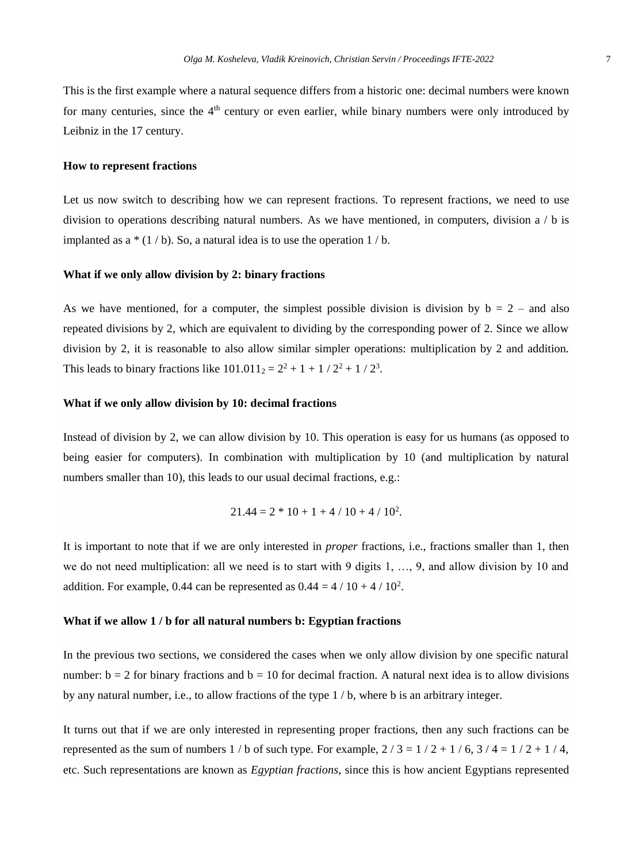This is the first example where a natural sequence differs from a historic one: decimal numbers were known for many centuries, since the  $4<sup>th</sup>$  century or even earlier, while binary numbers were only introduced by Leibniz in the 17 century.

#### **How to represent fractions**

Let us now switch to describing how we can represent fractions. To represent fractions, we need to use division to operations describing natural numbers. As we have mentioned, in computers, division a / b is implanted as a  $*(1/b)$ . So, a natural idea is to use the operation  $1/b$ .

#### **What if we only allow division by 2: binary fractions**

As we have mentioned, for a computer, the simplest possible division is division by  $b = 2 -$  and also repeated divisions by 2, which are equivalent to dividing by the corresponding power of 2. Since we allow division by 2, it is reasonable to also allow similar simpler operations: multiplication by 2 and addition. This leads to binary fractions like  $101.011_2 = 2^2 + 1 + 1/2^2 + 1/2^3$ .

#### **What if we only allow division by 10: decimal fractions**

Instead of division by 2, we can allow division by 10. This operation is easy for us humans (as opposed to being easier for computers). In combination with multiplication by 10 (and multiplication by natural numbers smaller than 10), this leads to our usual decimal fractions, e.g.:

$$
21.44 = 2 * 10 + 1 + 4 / 10 + 4 / 102.
$$

It is important to note that if we are only interested in *proper* fractions, i.e., fractions smaller than 1, then we do not need multiplication: all we need is to start with 9 digits 1, ..., 9, and allow division by 10 and addition. For example, 0.44 can be represented as  $0.44 = 4 / 10 + 4 / 10^2$ .

#### **What if we allow 1 / b for all natural numbers b: Egyptian fractions**

In the previous two sections, we considered the cases when we only allow division by one specific natural number:  $b = 2$  for binary fractions and  $b = 10$  for decimal fraction. A natural next idea is to allow divisions by any natural number, i.e., to allow fractions of the type 1 / b, where b is an arbitrary integer.

It turns out that if we are only interested in representing proper fractions, then any such fractions can be represented as the sum of numbers  $1/b$  of such type. For example,  $2/3 = 1/2 + 1/6$ ,  $3/4 = 1/2 + 1/4$ , etc. Such representations are known as *Egyptian fractions*, since this is how ancient Egyptians represented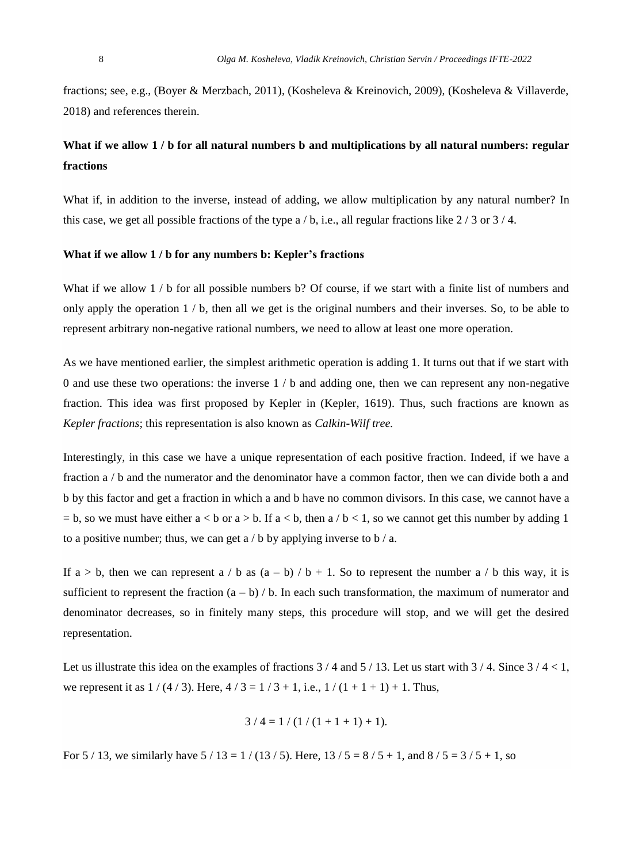fractions; see, e.g., (Boyer & Merzbach, 2011), (Kosheleva & Kreinovich, 2009), (Kosheleva & Villaverde, 2018) and references therein.

## **What if we allow 1 / b for all natural numbers b and multiplications by all natural numbers: regular fractions**

What if, in addition to the inverse, instead of adding, we allow multiplication by any natural number? In this case, we get all possible fractions of the type  $a/b$ , i.e., all regular fractions like  $2/3$  or  $3/4$ .

#### **What if we allow 1 / b for any numbers b: Kepler's fractions**

What if we allow  $1 / b$  for all possible numbers b? Of course, if we start with a finite list of numbers and only apply the operation  $1 / b$ , then all we get is the original numbers and their inverses. So, to be able to represent arbitrary non-negative rational numbers, we need to allow at least one more operation.

As we have mentioned earlier, the simplest arithmetic operation is adding 1. It turns out that if we start with 0 and use these two operations: the inverse 1 / b and adding one, then we can represent any non-negative fraction. This idea was first proposed by Kepler in (Kepler, 1619). Thus, such fractions are known as *Kepler fractions*; this representation is also known as *Calkin-Wilf tree.* 

Interestingly, in this case we have a unique representation of each positive fraction. Indeed, if we have a fraction a / b and the numerator and the denominator have a common factor, then we can divide both a and b by this factor and get a fraction in which a and b have no common divisors. In this case, we cannot have a  $=$  b, so we must have either  $a < b$  or  $a > b$ . If  $a < b$ , then  $a / b < 1$ , so we cannot get this number by adding 1 to a positive number; thus, we can get  $a/b$  by applying inverse to  $b/a$ .

If  $a > b$ , then we can represent a / b as  $(a - b) / b + 1$ . So to represent the number a / b this way, it is sufficient to represent the fraction  $(a - b) / b$ . In each such transformation, the maximum of numerator and denominator decreases, so in finitely many steps, this procedure will stop, and we will get the desired representation.

Let us illustrate this idea on the examples of fractions  $3/4$  and  $5/13$ . Let us start with  $3/4$ . Since  $3/4 < 1$ , we represent it as  $1/(4/3)$ . Here,  $4/3 = 1/3 + 1$ , i.e.,  $1/(1 + 1 + 1) + 1$ . Thus,

$$
3 / 4 = 1 / (1 / (1 + 1 + 1) + 1).
$$

For 5 / 13, we similarly have  $5 / 13 = 1 / (13 / 5)$ . Here,  $13 / 5 = 8 / 5 + 1$ , and  $8 / 5 = 3 / 5 + 1$ , so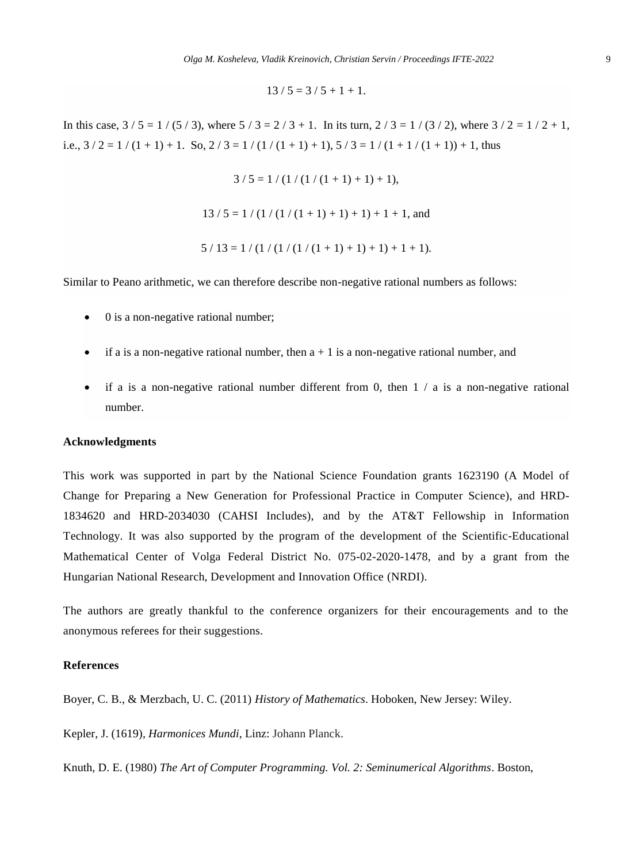$$
13 / 5 = 3 / 5 + 1 + 1.
$$

In this case,  $3/5 = 1/(5/3)$ , where  $5/3 = 2/3 + 1$ . In its turn,  $2/3 = 1/(3/2)$ , where  $3/2 = 1/2 + 1$ , i.e.,  $3/2 = 1/(1 + 1) + 1$ . So,  $2/3 = 1/(1/(1 + 1) + 1)$ ,  $5/3 = 1/(1 + 1/(1 + 1)) + 1$ , thus

 $3/5 = 1/(1/(1/(1+1)+1)+1),$ 

 $13/5 = 1/(1/(1/(1+1)+1)+1)+1+1$ , and

$$
5 / 13 = 1 / (1 / (1 / (1 / (1 + 1) + 1) + 1) + 1 + 1).
$$

Similar to Peano arithmetic, we can therefore describe non-negative rational numbers as follows:

- 0 is a non-negative rational number;
- $\bullet$  if a is a non-negative rational number, then  $a + 1$  is a non-negative rational number, and
- if a is a non-negative rational number different from 0, then  $1 / a$  is a non-negative rational number.

#### **Acknowledgments**

This work was supported in part by the National Science Foundation grants 1623190 (A Model of Change for Preparing a New Generation for Professional Practice in Computer Science), and HRD-1834620 and HRD-2034030 (CAHSI Includes), and by the AT&T Fellowship in Information Technology. It was also supported by the program of the development of the Scientific-Educational Mathematical Center of Volga Federal District No. 075-02-2020-1478, and by a grant from the Hungarian National Research, Development and Innovation Office (NRDI).

The authors are greatly thankful to the conference organizers for their encouragements and to the anonymous referees for their suggestions.

#### **References**

Boyer, C. B., & Merzbach, U. C. (2011) *History of Mathematics*. Hoboken, New Jersey: Wiley.

[Kepler, J.](https://en.wikipedia.org/wiki/Johannes_Kepler) (1619)*, [Harmonices Mundi](https://archive.org/stream/ioanniskepplerih00kepl#page/26/mode/2up)*, Linz: Johann Planck.

Knuth, D. E. (1980) *The Art of Computer Programming. Vol. 2: Seminumerical Algorithms*. Boston,